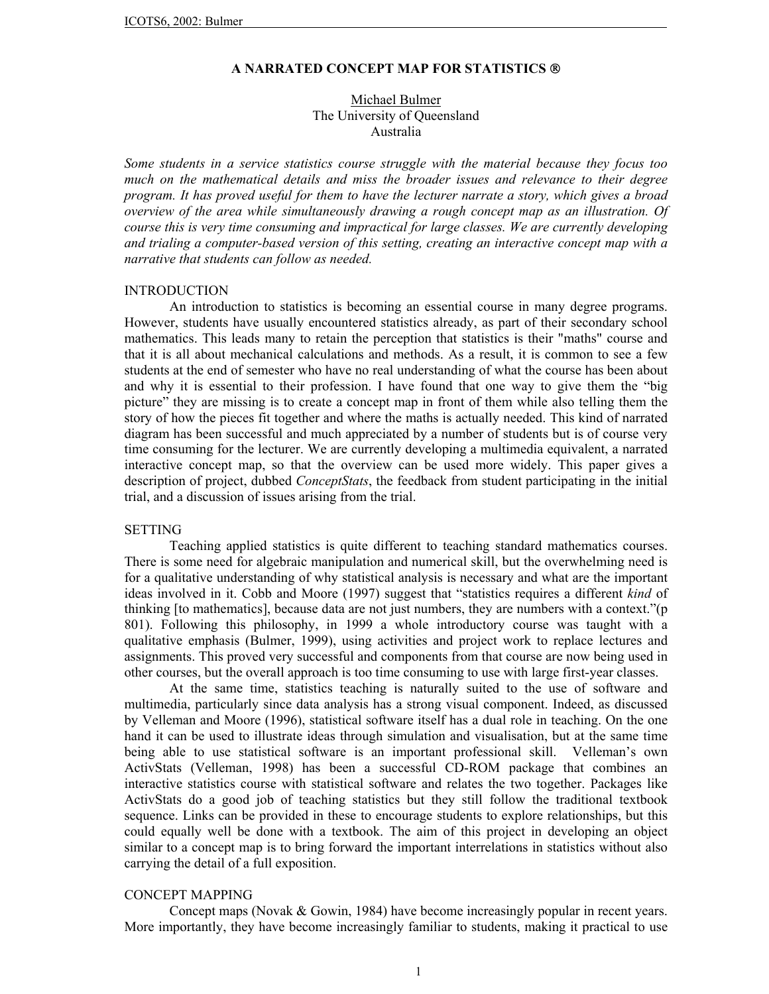### **A NARRATED CONCEPT MAP FOR STATISTICS**

# Michael Bulmer The University of Queensland Australia

*Some students in a service statistics course struggle with the material because they focus too much on the mathematical details and miss the broader issues and relevance to their degree program. It has proved useful for them to have the lecturer narrate a story, which gives a broad overview of the area while simultaneously drawing a rough concept map as an illustration. Of course this is very time consuming and impractical for large classes. We are currently developing and trialing a computer-based version of this setting, creating an interactive concept map with a narrative that students can follow as needed.*

#### INTRODUCTION

An introduction to statistics is becoming an essential course in many degree programs. However, students have usually encountered statistics already, as part of their secondary school mathematics. This leads many to retain the perception that statistics is their "maths" course and that it is all about mechanical calculations and methods. As a result, it is common to see a few students at the end of semester who have no real understanding of what the course has been about and why it is essential to their profession. I have found that one way to give them the "big picture" they are missing is to create a concept map in front of them while also telling them the story of how the pieces fit together and where the maths is actually needed. This kind of narrated diagram has been successful and much appreciated by a number of students but is of course very time consuming for the lecturer. We are currently developing a multimedia equivalent, a narrated interactive concept map, so that the overview can be used more widely. This paper gives a description of project, dubbed *ConceptStats*, the feedback from student participating in the initial trial, and a discussion of issues arising from the trial.

#### SETTING

Teaching applied statistics is quite different to teaching standard mathematics courses. There is some need for algebraic manipulation and numerical skill, but the overwhelming need is for a qualitative understanding of why statistical analysis is necessary and what are the important ideas involved in it. Cobb and Moore (1997) suggest that "statistics requires a different *kind* of thinking [to mathematics], because data are not just numbers, they are numbers with a context."(p 801). Following this philosophy, in 1999 a whole introductory course was taught with a qualitative emphasis (Bulmer, 1999), using activities and project work to replace lectures and assignments. This proved very successful and components from that course are now being used in other courses, but the overall approach is too time consuming to use with large first-year classes.

At the same time, statistics teaching is naturally suited to the use of software and multimedia, particularly since data analysis has a strong visual component. Indeed, as discussed by Velleman and Moore (1996), statistical software itself has a dual role in teaching. On the one hand it can be used to illustrate ideas through simulation and visualisation, but at the same time being able to use statistical software is an important professional skill. Velleman's own ActivStats (Velleman, 1998) has been a successful CD-ROM package that combines an interactive statistics course with statistical software and relates the two together. Packages like ActivStats do a good job of teaching statistics but they still follow the traditional textbook sequence. Links can be provided in these to encourage students to explore relationships, but this could equally well be done with a textbook. The aim of this project in developing an object similar to a concept map is to bring forward the important interrelations in statistics without also carrying the detail of a full exposition.

### CONCEPT MAPPING

Concept maps (Novak & Gowin, 1984) have become increasingly popular in recent years. More importantly, they have become increasingly familiar to students, making it practical to use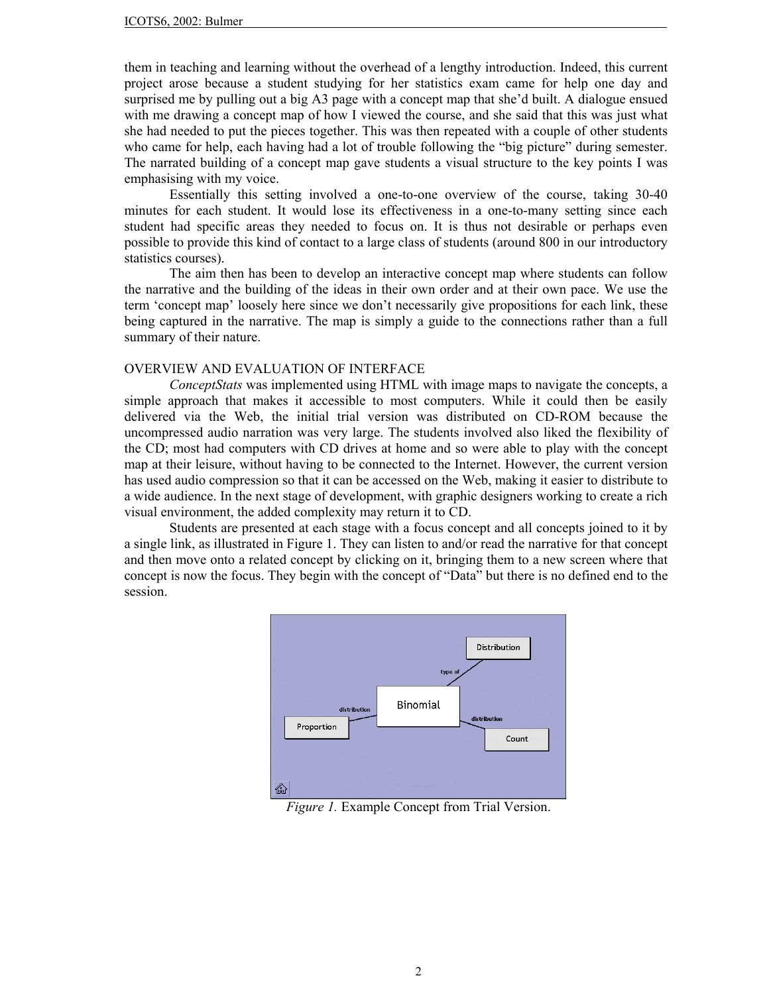them in teaching and learning without the overhead of a lengthy introduction. Indeed, this current project arose because a student studying for her statistics exam came for help one day and surprised me by pulling out a big A3 page with a concept map that she'd built. A dialogue ensued with me drawing a concept map of how I viewed the course, and she said that this was just what she had needed to put the pieces together. This was then repeated with a couple of other students who came for help, each having had a lot of trouble following the "big picture" during semester. The narrated building of a concept map gave students a visual structure to the key points I was emphasising with my voice.

Essentially this setting involved a one-to-one overview of the course, taking 30-40 minutes for each student. It would lose its effectiveness in a one-to-many setting since each student had specific areas they needed to focus on. It is thus not desirable or perhaps even possible to provide this kind of contact to a large class of students (around 800 in our introductory statistics courses).

The aim then has been to develop an interactive concept map where students can follow the narrative and the building of the ideas in their own order and at their own pace. We use the term 'concept map' loosely here since we don't necessarily give propositions for each link, these being captured in the narrative. The map is simply a guide to the connections rather than a full summary of their nature.

# OVERVIEW AND EVALUATION OF INTERFACE

*ConceptStats* was implemented using HTML with image maps to navigate the concepts, a simple approach that makes it accessible to most computers. While it could then be easily delivered via the Web, the initial trial version was distributed on CD-ROM because the uncompressed audio narration was very large. The students involved also liked the flexibility of the CD; most had computers with CD drives at home and so were able to play with the concept map at their leisure, without having to be connected to the Internet. However, the current version has used audio compression so that it can be accessed on the Web, making it easier to distribute to a wide audience. In the next stage of development, with graphic designers working to create a rich visual environment, the added complexity may return it to CD.

Students are presented at each stage with a focus concept and all concepts joined to it by a single link, as illustrated in Figure 1. They can listen to and/or read the narrative for that concept and then move onto a related concept by clicking on it, bringing them to a new screen where that concept is now the focus. They begin with the concept of "Data" but there is no defined end to the session.



*Figure 1.* Example Concept from Trial Version.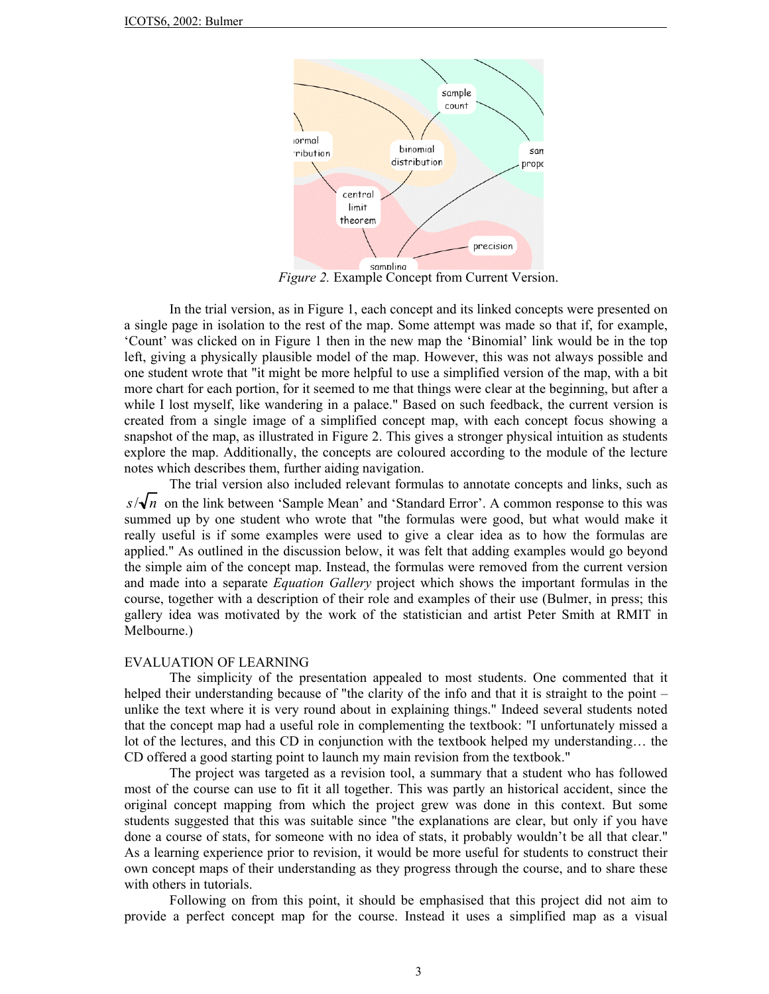

*Figure 2.* Example Concept from Current Version.

In the trial version, as in Figure 1, each concept and its linked concepts were presented on a single page in isolation to the rest of the map. Some attempt was made so that if, for example, 'Count' was clicked on in Figure 1 then in the new map the 'Binomial' link would be in the top left, giving a physically plausible model of the map. However, this was not always possible and one student wrote that "it might be more helpful to use a simplified version of the map, with a bit more chart for each portion, for it seemed to me that things were clear at the beginning, but after a while I lost myself, like wandering in a palace." Based on such feedback, the current version is created from a single image of a simplified concept map, with each concept focus showing a snapshot of the map, as illustrated in Figure 2. This gives a stronger physical intuition as students explore the map. Additionally, the concepts are coloured according to the module of the lecture notes which describes them, further aiding navigation.

The trial version also included relevant formulas to annotate concepts and links, such as  $s/\sqrt{n}$  on the link between 'Sample Mean' and 'Standard Error'. A common response to this was summed up by one student who wrote that "the formulas were good, but what would make it really useful is if some examples were used to give a clear idea as to how the formulas are applied." As outlined in the discussion below, it was felt that adding examples would go beyond the simple aim of the concept map. Instead, the formulas were removed from the current version and made into a separate *Equation Gallery* project which shows the important formulas in the course, together with a description of their role and examples of their use (Bulmer, in press; this gallery idea was motivated by the work of the statistician and artist Peter Smith at RMIT in Melbourne.)

#### EVALUATION OF LEARNING

The simplicity of the presentation appealed to most students. One commented that it helped their understanding because of "the clarity of the info and that it is straight to the point – unlike the text where it is very round about in explaining things." Indeed several students noted that the concept map had a useful role in complementing the textbook: "I unfortunately missed a lot of the lectures, and this CD in conjunction with the textbook helped my understanding… the CD offered a good starting point to launch my main revision from the textbook."

The project was targeted as a revision tool, a summary that a student who has followed most of the course can use to fit it all together. This was partly an historical accident, since the original concept mapping from which the project grew was done in this context. But some students suggested that this was suitable since "the explanations are clear, but only if you have done a course of stats, for someone with no idea of stats, it probably wouldn't be all that clear." As a learning experience prior to revision, it would be more useful for students to construct their own concept maps of their understanding as they progress through the course, and to share these with others in tutorials.

Following on from this point, it should be emphasised that this project did not aim to provide a perfect concept map for the course. Instead it uses a simplified map as a visual